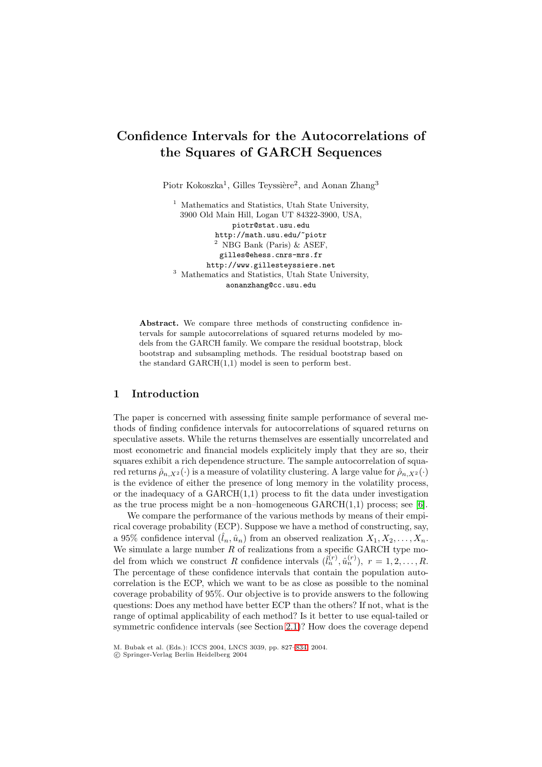# **Confidence Intervals for the Autocorrelations of the Squares of GARCH Sequences**

Piotr Kokoszka<sup>1</sup>, Gilles Teyssière<sup>2</sup>, and Aonan Zhang<sup>3</sup>

<sup>1</sup> Mathematics and Statistics, Utah State University, 3900 Old Main Hill, Logan UT 84322-3900, USA, piotr@stat.usu.edu http://math.usu.edu/˜piotr <sup>2</sup> NBG Bank (Paris)  $\&$  ASEF, gilles@ehess.cnrs-mrs.fr http://www.gillesteyssiere.net <sup>3</sup> Mathematics and Statistics, Utah State University, aonanzhang@cc.usu.edu

**Abstract.** We compare three methods of constructing confidence intervals for sample autocorrelations of squared returns modeled by models from the GARCH family. We compare the residual bootstrap, block bootstrap and subsampling methods. The residual bootstrap based on the standard  $GARCH(1,1)$  model is seen to perform best.

## **1 Introduction**

The paper is concerned with assessing finite sample performance of several methods of finding confidence intervals for autocorrelations of squared returns on speculative assets. While the returns themselves are essentially uncorrelated and most econometric and financial models explicitely imply that they are so, their squares exhibit a rich dependence structure. The sample autocorrelation of squared returns  $\hat{\rho}_{n,X^2}(\cdot)$  is a measure of volatility clustering. A large value for  $\hat{\rho}_{n,X^2}(\cdot)$ is the evidence of either the presence of long memory in the volatility process, or the inadequacy of a  $GARCH(1,1)$  process to fit the data under investigation as the true process might be a non–homogeneous  $GARCH(1,1)$  process; see [\[6\]](#page-7-0).

We compare the performance of the various methods by means of their empirical coverage probability (ECP). Suppose we have a method of constructing, say, a 95% confidence interval  $(\hat{l}_n, \hat{u}_n)$  from an observed realization  $X_1, X_2, \ldots, X_n$ . We simulate a large number  $R$  of realizations from a specific GARCH type model from which we construct R confidence intervals  $(\hat{l}_n^{(r)}, \hat{u}_n^{(r)})$ ,  $r = 1, 2, ..., R$ .<br>The percentage of these confidence intervals that contain the population auto-The percentage of these confidence intervals that contain the population autocorrelation is the ECP, which we want to be as close as possible to the nominal coverage probability of 95%. Our objective is to provide answers to the following questions: Does any method have better ECP than the others? If not, what is the range of optimal applicability of each method? Is it better to use equal-tailed or symmetric confidence intervals (see Section [2.1\)](#page-1-0)? How does the coverage depend

M. Bubak et al. (Eds.): ICCS 2004, LNCS 3039, pp. 827[–834,](#page-6-0) 2004.

c Springer-Verlag Berlin Heidelberg 2004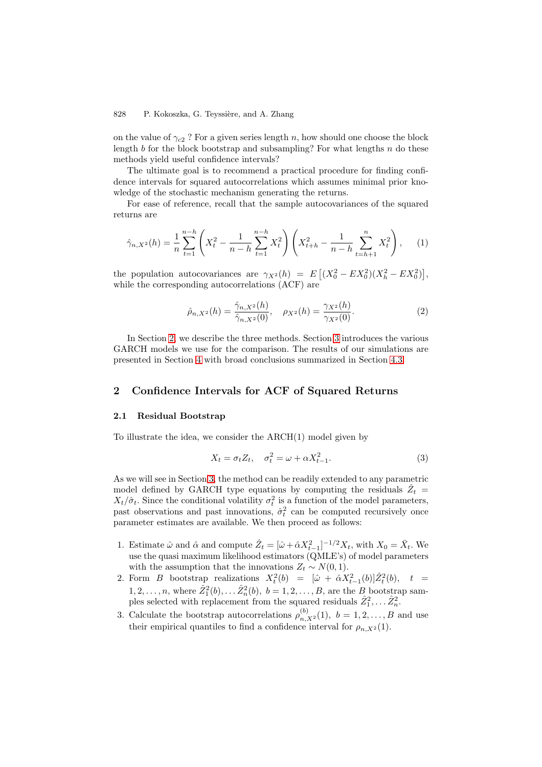<span id="page-1-0"></span>on the value of  $\gamma_{c2}$ ? For a given series length n, how should one choose the block length b for the block bootstrap and subsampling? For what lengths  $n$  do these methods yield useful confidence intervals?

The ultimate goal is to recommend a practical procedure for finding confidence intervals for squared autocorrelations which assumes minimal prior knowledge of the stochastic mechanism generating the returns.

For ease of reference, recall that the sample autocovariances of the squared returns are

$$
\hat{\gamma}_{n,X^2}(h) = \frac{1}{n} \sum_{t=1}^{n-h} \left( X_t^2 - \frac{1}{n-h} \sum_{t=1}^{n-h} X_t^2 \right) \left( X_{t+h}^2 - \frac{1}{n-h} \sum_{t=h+1}^n X_t^2 \right), \tag{1}
$$

the population autocovariances are  $\gamma_{X^2}(h) = E[(X_0^2 - EX_0^2)(X_h^2 - EX_0^2)],$ <br>while the corresponding autocorrelations (ACE) are while the corresponding autocorrelations (ACF) are

$$
\hat{\rho}_{n,X^2}(h) = \frac{\hat{\gamma}_{n,X^2}(h)}{\hat{\gamma}_{n,X^2}(0)}, \quad \rho_{X^2}(h) = \frac{\gamma_{X^2}(h)}{\gamma_{X^2}(0)}.
$$
\n(2)

In Section 2, we describe the three methods. Section [3](#page-3-0) introduces the various GARCH models we use for the comparison. The results of our simulations are presented in Section [4](#page-4-0) with broad conclusions summarized in Section [4.3.](#page-6-0)

# **2 Confidence Intervals for ACF of Squared Returns**

#### **2.1 Residual Bootstrap**

To illustrate the idea, we consider the ARCH(1) model given by

$$
X_t = \sigma_t Z_t, \quad \sigma_t^2 = \omega + \alpha X_{t-1}^2.
$$
\n
$$
(3)
$$

As we will see in Section [3,](#page-3-0) the method can be readily extended to any parametric model defined by GARCH type equations by computing the residuals  $\tilde{Z}_t$  =  $X_t/\hat{\sigma}_t$ . Since the conditional volatility  $\sigma_t^2$  is a function of the model parameters, past observations and past innovations,  $\hat{\sigma}_t^2$  can be computed recursively once<br>parameter estimates are available. We then proceed as follows: parameter estimates are available. We then proceed as follows:

- 1. Estimate  $\hat{\omega}$  and  $\hat{\alpha}$  and compute  $\hat{Z}_t = [\hat{\omega} + \hat{\alpha}X_{t-1}^2]^{-1/2}X_t$ , with  $X_0 = \bar{X}_t$ . We use the quasi maximum likelihood estimators (OMLE's) of model parameters use the quasi maximum likelihood estimators (QMLE's) of model parameters with the assumption that the innovations  $Z_t \sim N(0, 1)$ .
- 2. Form B bootstrap realizations  $X_t^2(b) = [\hat{\omega} + \hat{\alpha} X_{t-1}^2(b)]\hat{Z}_t^2$  $t_t^2(b)$ ,  $t =$  $1, 2, \ldots, n$ , where  $\hat{Z}_1^2(b), \ldots \hat{Z}_n^2(b), b = 1, 2, \ldots, B$ , are the B bootstrap sam-<br>ples selected with replacement from the squared residuals  $\hat{Z}^2 = \hat{Z}^2$ ples selected with replacement from the squared residuals  $\hat{Z}_1^2, \ldots \hat{Z}_n^2$ .
- 3. Calculate the bootstrap autocorrelations  $\rho_{n,X^2}^{(b)}(1)$ ,  $b = 1, 2, ..., B$  and use their empirical quantiles to find a confidence interval for a (1) their empirical quantiles to find a confidence interval for  $\rho_{n,X^2}(1)$ .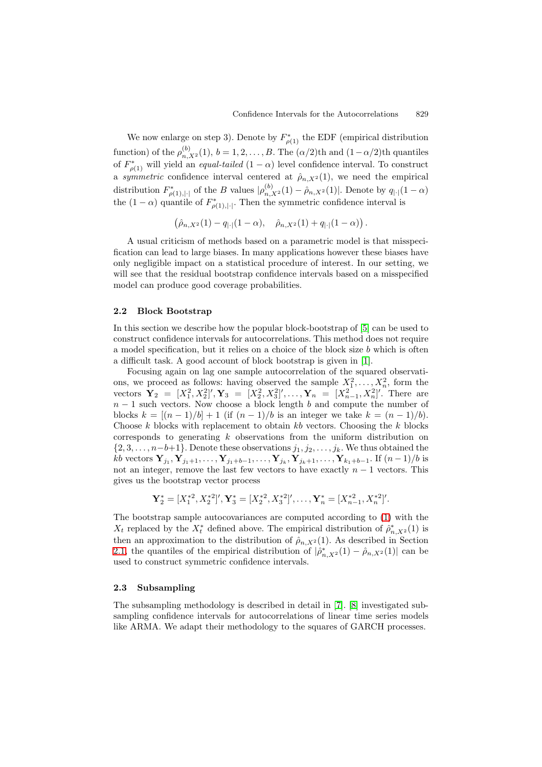We now enlarge on step 3). Denote by  $F^*_{\rho(1)}$  the EDF (empirical distribution function) of the  $\rho_{n,X^2}^{(b)}(1), b = 1, 2, \ldots, B$ . The  $(\alpha/2)$ th and  $(1-\alpha/2)$ th quantiles of  $F_{\rho(1)}^*$  will yield an *equal-tailed*  $(1 - \alpha)$  level confidence interval. To construct a *symmetric* confidence interval centered at  $\hat{\rho}_{n,X^2}(1)$ , we need the empirical distribution  $F^*_{\rho(1),|\cdot|}$  of the B values  $|\rho^{(b)}_{n,X^2}(1) - \hat{\rho}_{n,X^2}(1)|$ . Denote by  $q_{|\cdot|}(1-\alpha)$ <br>the (1 = 0) guantile of  $F^*$ . Then the guantize son fidence interval is the  $(1 - \alpha)$  quantile of  $F^*_{\rho(1),|\cdot|}$ . Then the symmetric confidence interval is

$$
(\hat{\rho}_{n,X^2}(1)-q_{|\cdot|}(1-\alpha), \quad \hat{\rho}_{n,X^2}(1)+q_{|\cdot|}(1-\alpha)).
$$

A usual criticism of methods based on a parametric model is that misspecification can lead to large biases. In many applications however these biases have only negligible impact on a statistical procedure of interest. In our setting, we will see that the residual bootstrap confidence intervals based on a misspecified model can produce good coverage probabilities.

## **2.2 Block Bootstrap**

In this section we describe how the popular block-bootstrap of [\[5\]](#page-7-0) can be used to construct confidence intervals for autocorrelations. This method does not require a model specification, but it relies on a choice of the block size b which is often a difficult task. A good account of block bootstrap is given in [\[1\]](#page-7-0).

Focusing again on lag one sample autocorrelation of the squared observations, we proceed as follows: having observed the sample  $X_1^2, \ldots, X_n^2$ , form the vectors  $\mathbf{Y}_2 = [X^2 \ X^{2}]' \ \mathbf{Y}_2 = [X^2 \ X^{2}]' \ \mathbf{Y}_3 = [X^2 \ X^{2}]' \ \mathbf{Y}_4 = [X^2 \ X^{2}]'$ . There are vectors  $\mathbf{Y}_2 = [X_1^2, X_2^2]'$ ,  $\mathbf{Y}_3 = [X_2^2, X_3^2]'$ ,  $\ldots, \mathbf{Y}_n = [X_{n-1}^2, X_n^2]'$ . There are  $n-1$  such vectors. Now choose a block length b and compute the number of blocks  $k = [(n-1)/b] + 1$  (if  $(n-1)/b$  is an integer we take  $k = (n-1)/b$ ). Choose  $k$  blocks with replacement to obtain  $kb$  vectors. Choosing the  $k$  blocks corresponds to generating k observations from the uniform distribution on  $\{2, 3, \ldots, n-b+1\}$ . Denote these observations  $j_1, j_2, \ldots, j_k$ . We thus obtained the  $kb$  vectors  $Y_{j_1}, Y_{j_1+1},..., Y_{j_1+b-1},..., Y_{j_k}, Y_{j_k+1},..., Y_{k_1+b-1}$ . If  $(n-1)/b$  is not an integer, remove the last few vectors to have exactly  $n - 1$  vectors. This gives us the bootstrap vector process

$$
\mathbf{Y}_2^* = [X_1^{*2}, X_2^{*2}]', \mathbf{Y}_3^* = [X_2^{*2}, X_3^{*2}]', \dots, \mathbf{Y}_n^* = [X_{n-1}^{*2}, X_n^{*2}]'
$$

The bootstrap sample autocovariances are computed according to [\(1\)](#page-1-0) with the  $X_t$  replaced by the  $X_t^*$  defined above. The empirical distribution of  $\hat{\rho}_{n,X^2}^*(1)$  is<br>then an approximation to the distribution of  $\hat{a}_{n+1}(1)$ . As described in Section then an approximation to the distribution of  $\hat{\rho}_{n,X^2}(1)$ . As described in Section [2.1,](#page-1-0) the quantiles of the empirical distribution of  $|\hat{\rho}^*_{n,X^2}(1) - \hat{\rho}_{n,X^2}(1)|$  can be used to construct symmetric confidence intervals used to construct symmetric confidence intervals.

## **2.3 Subsampling**

The subsampling methodology is described in detail in [\[7\]](#page-7-0). [\[8\]](#page-7-0) investigated subsampling confidence intervals for autocorrelations of linear time series models like ARMA. We adapt their methodology to the squares of GARCH processes.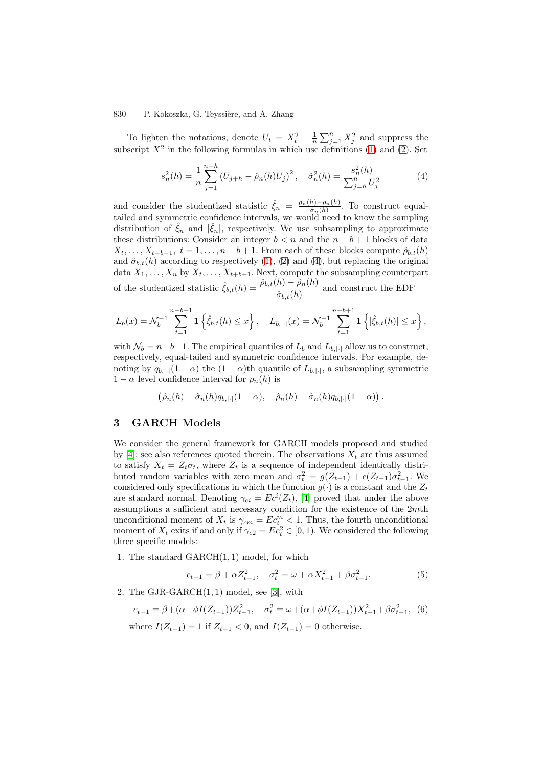<span id="page-3-0"></span>To lighten the notations, denote  $U_t = X_t^2 - \frac{1}{n} \sum_{j=1}^n X_j^2$  and suppress the series  $X_t^2$  in the following formulas in which use definitions (1) and (2). Set subscript  $X^2$  in the following formulas in which use definitions [\(1\)](#page-1-0) and [\(2\)](#page-1-0). Set

$$
s_n^2(h) = \frac{1}{n} \sum_{j=1}^{n-h} (U_{j+h} - \hat{\rho}_n(h)U_j)^2, \quad \hat{\sigma}_n^2(h) = \frac{s_n^2(h)}{\sum_{j=h}^n U_j^2}
$$
(4)

and consider the studentized statistic  $\hat{\xi}_n = \frac{\hat{\rho}_n(h) - \rho_n(h)}{\hat{\sigma}_n(h)}$ . To construct equal-<br>tailed and summatric confidence intervals we would need to know the compliment tailed and symmetric confidence intervals, we would need to know the sampling distribution of  $\hat{\xi}_n$  and  $|\hat{\xi}_n|$ , respectively. We use subsampling to approximate these distributions: Consider an integer  $b < n$  and the  $n - b + 1$  blocks of data  $X_t, \ldots, X_{t+b-1}, t = 1, \ldots, n-b+1$ . From each of these blocks compute  $\hat{\rho}_{b,t}(h)$  and  $\hat{\sigma}_{b,t}(h)$  according to respectively (1), (2) and (4), but replacing the original and  $\hat{\sigma}_{b,t}(h)$  according to respectively [\(1\)](#page-1-0), [\(2\)](#page-1-0) and (4), but replacing the original<br>data  $Y_t$ ,  $Y_t$  by  $Y_t$ ,  $Y_{t+1}$ , Next, compute the subsampling counterpart data  $X_1, \ldots, X_n$  by  $X_t, \ldots, X_{t+b-1}$ . Next, compute the subsampling counterpart of the studentized statistic  $\hat{\xi}_{b,t}(h) = \frac{\hat{\rho}_{b,t}(h) - \hat{\rho}_n(h)}{\hat{\sigma}_{b,t}(h)}$  and construct the EDF

$$
L_b(x) = \mathcal{N}_b^{-1} \sum_{t=1}^{n-b+1} \mathbf{1} \left\{ \hat{\xi}_{b,t}(h) \le x \right\}, \quad L_{b,|\cdot|}(x) = \mathcal{N}_b^{-1} \sum_{t=1}^{n-b+1} \mathbf{1} \left\{ |\hat{\xi}_{b,t}(h)| \le x \right\},
$$

with  $\mathcal{N}_b = n-b+1$ . The empirical quantiles of  $L_b$  and  $L_{b,|\cdot|}$  allow us to construct, respectively, equal-tailed and symmetric confidence intervals. For example, denoting by  $q_{b,|\cdot|}(1-\alpha)$  the  $(1-\alpha)$ th quantile of  $L_{b,|\cdot|}$ , a subsampling symmetric  $1 - \alpha$  level confidence interval for  $\rho_n(h)$  is

$$
(\hat{\rho}_n(h) - \hat{\sigma}_n(h)q_{b,|\cdot|}(1-\alpha), \quad \hat{\rho}_n(h) + \hat{\sigma}_n(h)q_{b,|\cdot|}(1-\alpha)).
$$

# **3 GARCH Models**

We consider the general framework for GARCH models proposed and studied by [\[4\]](#page-7-0); see also references quoted therein. The observations  $X_t$  are thus assumed to satisfy  $X_t = Z_t \sigma_t$ , where  $Z_t$  is a sequence of independent identically distributed random variables with zero mean and  $\sigma_t^2 = g(Z_{t-1}) + c(Z_{t-1})\sigma_{t-1}^2$ . We<br>considered only specifications in which the function  $g(.)$  is a constant and the Z. considered only specifications in which the function  $g(\cdot)$  is a constant and the  $Z_t$ are standard normal. Denoting  $\gamma_{ci} = Ec^{i}(Z_{t})$ , [\[4\]](#page-7-0) proved that under the above<br>assumptions a sufficient and necessary condition for the existence of the 2m<sup>th</sup> assumptions a sufficient and necessary condition for the existence of the 2mth unconditional moment of  $X_t$  is  $\gamma_{cm} = E c_t^m < 1$ . Thus, the fourth unconditional<br>moment of  $X_t$  exits if and only if  $\gamma_{\phi} = E c^2 \in [0, 1)$ . We considered the following moment of  $X_t$  exits if and only if  $\gamma_{c2} = Ec_t^2 \in [0, 1)$ . We considered the following three specific models:

1. The standard GARCH(1, 1) model, for which

$$
c_{t-1} = \beta + \alpha Z_{t-1}^2, \quad \sigma_t^2 = \omega + \alpha X_{t-1}^2 + \beta \sigma_{t-1}^2. \tag{5}
$$

2. The GJR-GARCH(1, 1) model, see [\[3\]](#page-7-0), with

$$
c_{t-1} = \beta + (\alpha + \phi I(Z_{t-1}))Z_{t-1}^2, \quad \sigma_t^2 = \omega + (\alpha + \phi I(Z_{t-1}))X_{t-1}^2 + \beta \sigma_{t-1}^2, \tag{6}
$$

where  $I(Z_{t-1}) = 1$  if  $Z_{t-1} < 0$ , and  $I(Z_{t-1}) = 0$  otherwise.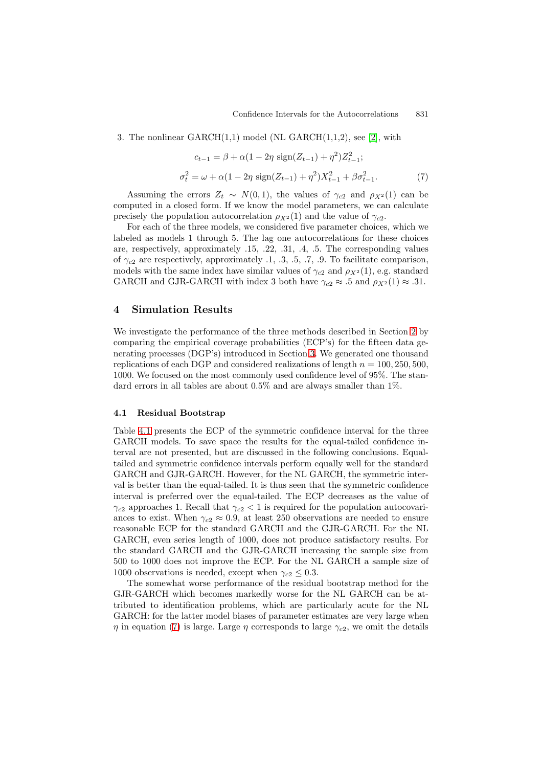<span id="page-4-0"></span>3. The nonlinear  $GARCH(1,1)$  model (NL  $GARCH(1,1,2)$ , see [\[2\]](#page-7-0), with

$$
c_{t-1} = \beta + \alpha (1 - 2\eta \operatorname{sign}(Z_{t-1}) + \eta^2) Z_{t-1}^2;
$$
  

$$
\sigma_t^2 = \omega + \alpha (1 - 2\eta \operatorname{sign}(Z_{t-1}) + \eta^2) X_{t-1}^2 + \beta \sigma_{t-1}^2.
$$
 (7)

Assuming the errors  $Z_t \sim N(0, 1)$ , the values of  $\gamma_{c2}$  and  $\rho_{X^2}(1)$  can be computed in a closed form. If we know the model parameters, we can calculate precisely the population autocorrelation  $\rho_{X^2}(1)$  and the value of  $\gamma_{c2}$ .

For each of the three models, we considered five parameter choices, which we labeled as models 1 through 5. The lag one autocorrelations for these choices are, respectively, approximately .15, .22, .31, .4, .5. The corresponding values of  $\gamma_{c2}$  are respectively, approximately .1, .3, .5, .7, .9. To facilitate comparison, models with the same index have similar values of  $\gamma_{c2}$  and  $\rho_{X^2}(1)$ , e.g. standard GARCH and GJR-GARCH with index 3 both have  $\gamma_{c2} \approx .5$  and  $\rho_{X^2}(1) \approx .31$ .

## **4 Simulation Results**

We investigate the performance of the three methods described in Section [2](#page-1-0) by comparing the empirical coverage probabilities (ECP's) for the fifteen data generating processes (DGP's) introduced in Section [3.](#page-3-0) We generated one thousand replications of each DGP and considered realizations of length  $n = 100, 250, 500$ , 1000. We focused on the most commonly used confidence level of 95%. The standard errors in all tables are about 0.5% and are always smaller than 1%.

#### **4.1 Residual Bootstrap**

Table [4.1](#page-5-0) presents the ECP of the symmetric confidence interval for the three GARCH models. To save space the results for the equal-tailed confidence interval are not presented, but are discussed in the following conclusions. Equaltailed and symmetric confidence intervals perform equally well for the standard GARCH and GJR-GARCH. However, for the NL GARCH, the symmetric interval is better than the equal-tailed. It is thus seen that the symmetric confidence interval is preferred over the equal-tailed. The ECP decreases as the value of  $\gamma_{c2}$  approaches 1. Recall that  $\gamma_{c2}$  < 1 is required for the population autocovariances to exist. When  $\gamma_{c2} \approx 0.9$ , at least 250 observations are needed to ensure reasonable ECP for the standard GARCH and the GJR-GARCH. For the NL GARCH, even series length of 1000, does not produce satisfactory results. For the standard GARCH and the GJR-GARCH increasing the sample size from 500 to 1000 does not improve the ECP. For the NL GARCH a sample size of 1000 observations is needed, except when  $\gamma_{c2} \leq 0.3$ .

The somewhat worse performance of the residual bootstrap method for the GJR-GARCH which becomes markedly worse for the NL GARCH can be attributed to identification problems, which are particularly acute for the NL GARCH: for the latter model biases of parameter estimates are very large when  $\eta$  in equation (7) is large. Large  $\eta$  corresponds to large  $\gamma_{c2}$ , we omit the details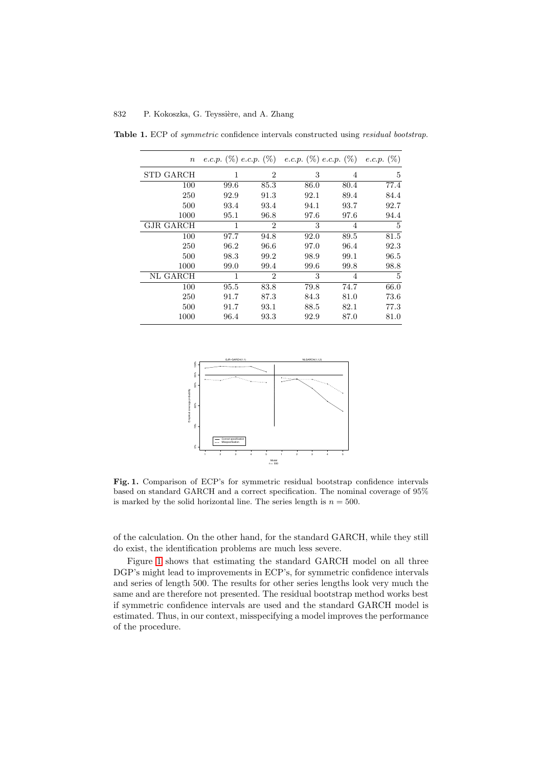| $\boldsymbol{n}$ |      |                | e.c.p. $(\%)$ e.c.p. $(\%)$ e.c.p. $(\%)$ e.c.p. $(\%)$ e.c.p. $(\%)$ |      |      |
|------------------|------|----------------|-----------------------------------------------------------------------|------|------|
| STD GARCH        | 1    | $\overline{2}$ | 3                                                                     | 4    | 5    |
| 100              | 99.6 | 85.3           | 86.0                                                                  | 80.4 | 77.4 |
| 250              | 92.9 | 91.3           | 92.1                                                                  | 89.4 | 84.4 |
| 500              | 93.4 | 93.4           | 94.1                                                                  | 93.7 | 92.7 |
| 1000             | 95.1 | 96.8           | 97.6                                                                  | 97.6 | 94.4 |
| GJR GARCH        | 1    | 2              | 3                                                                     | 4    | 5    |
| 100              | 97.7 | 94.8           | 92.0                                                                  | 89.5 | 81.5 |
| 250              | 96.2 | 96.6           | 97.0                                                                  | 96.4 | 92.3 |
| 500              | 98.3 | 99.2           | 98.9                                                                  | 99.1 | 96.5 |
| 1000             | 99.0 | 99.4           | 99.6                                                                  | 99.8 | 98.8 |
| NL GARCH         | 1    | 2              | 3                                                                     | 4    | 5    |
| 100              | 95.5 | 83.8           | 79.8                                                                  | 74.7 | 66.0 |
| 250              | 91.7 | 87.3           | 84.3                                                                  | 81.0 | 73.6 |
| 500              | 91.7 | 93.1           | 88.5                                                                  | 82.1 | 77.3 |
| 1000             | 96.4 | 93.3           | 92.9                                                                  | 87.0 | 81.0 |

<span id="page-5-0"></span>**Table 1.** ECP of symmetric confidence intervals constructed using residual bootstrap.



**Fig. 1.** Comparison of ECP's for symmetric residual bootstrap confidence intervals based on standard GARCH and a correct specification. The nominal coverage of 95% is marked by the solid horizontal line. The series length is  $n = 500$ .

of the calculation. On the other hand, for the standard GARCH, while they still do exist, the identification problems are much less severe.

Figure 1 shows that estimating the standard GARCH model on all three DGP's might lead to improvements in ECP's, for symmetric confidence intervals and series of length 500. The results for other series lengths look very much the same and are therefore not presented. The residual bootstrap method works best if symmetric confidence intervals are used and the standard GARCH model is estimated. Thus, in our context, misspecifying a model improves the performance of the procedure.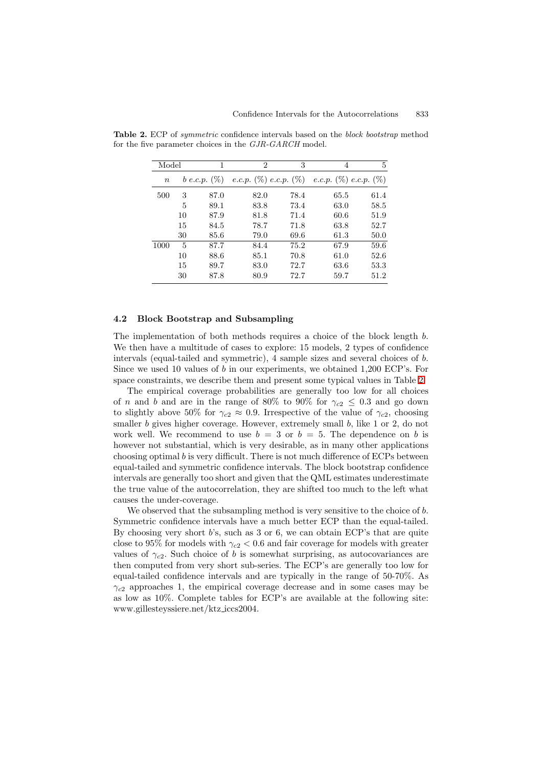| Model  |    | 1                 | 2    | 3    | $\overline{4}$                                          | 5    |
|--------|----|-------------------|------|------|---------------------------------------------------------|------|
| $\, n$ |    | $b$ e.c.p. $(\%)$ |      |      | e.c.p. $(\%)$ e.c.p. $(\%)$ e.c.p. $(\%)$ e.c.p. $(\%)$ |      |
| 500    | 3  | 87.0              | 82.0 | 78.4 | 65.5                                                    | 61.4 |
|        | 5  | 89.1              | 83.8 | 73.4 | 63.0                                                    | 58.5 |
|        | 10 | 87.9              | 81.8 | 71.4 | 60.6                                                    | 51.9 |
|        | 15 | 84.5              | 78.7 | 71.8 | 63.8                                                    | 52.7 |
|        | 30 | 85.6              | 79.0 | 69.6 | 61.3                                                    | 50.0 |
| 1000   | 5  | 87.7              | 84.4 | 75.2 | 67.9                                                    | 59.6 |
|        | 10 | 88.6              | 85.1 | 70.8 | 61.0                                                    | 52.6 |
|        | 15 | 89.7              | 83.0 | 72.7 | 63.6                                                    | 53.3 |
|        | 30 | 87.8              | 80.9 | 72.7 | 59.7                                                    | 51.2 |

<span id="page-6-0"></span>**Table 2.** ECP of symmetric confidence intervals based on the block bootstrap method for the five parameter choices in the GJR-GARCH model.

#### **4.2 Block Bootstrap and Subsampling**

The implementation of both methods requires a choice of the block length b. We then have a multitude of cases to explore: 15 models, 2 types of confidence intervals (equal-tailed and symmetric), 4 sample sizes and several choices of b. Since we used 10 values of b in our experiments, we obtained 1,200 ECP's. For space constraints, we describe them and present some typical values in Table 2.

The empirical coverage probabilities are generally too low for all choices of *n* and *b* and are in the range of 80% to 90% for  $\gamma_{c2} \leq 0.3$  and go down to slightly above 50% for  $\gamma_{c2} \approx 0.9$ . Irrespective of the value of  $\gamma_{c2}$ , choosing smaller b gives higher coverage. However, extremely small b, like  $1$  or  $2$ , do not work well. We recommend to use  $b = 3$  or  $b = 5$ . The dependence on b is however not substantial, which is very desirable, as in many other applications choosing optimal b is very difficult. There is not much difference of ECPs between equal-tailed and symmetric confidence intervals. The block bootstrap confidence intervals are generally too short and given that the QML estimates underestimate the true value of the autocorrelation, they are shifted too much to the left what causes the under-coverage.

We observed that the subsampling method is very sensitive to the choice of b. Symmetric confidence intervals have a much better ECP than the equal-tailed. By choosing very short b's, such as 3 or 6, we can obtain ECP's that are quite close to 95% for models with  $\gamma_{c2}$  < 0.6 and fair coverage for models with greater values of  $\gamma_{c2}$ . Such choice of b is somewhat surprising, as autocovariances are then computed from very short sub-series. The ECP's are generally too low for equal-tailed confidence intervals and are typically in the range of 50-70%. As  $\gamma_{c2}$  approaches 1, the empirical coverage decrease and in some cases may be as low as 10%. Complete tables for ECP's are available at the following site: www.gillesteyssiere.net/ktz iccs2004.